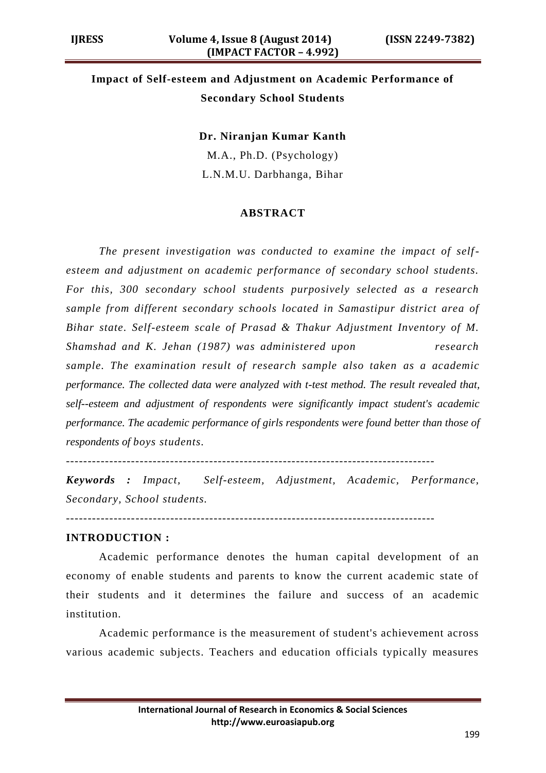# **Impact of Self-esteem and Adjustment on Academic Performance of Secondary School Students**

**Dr. Niranjan Kumar Kanth**

M.A., Ph.D. (Psychology) L.N.M.U. Darbhanga, Bihar

#### **ABSTRACT**

*The present investigation was conducted to examine the impact of selfesteem and adjustment on academic performance of secondary school students. For this, 300 secondary school students purposively selected as a research sample from different secondary schools located in Samastipur district area of Bihar state. Self-esteem scale of Prasad & Thakur Adjustment Inventory of M. Shamshad and K. Jehan (1987) was administered upon research sample. The examination result of research sample also taken as a academic performance. The collected data were analyzed with t-test method. The result revealed that, self--esteem and adjustment of respondents were significantly impact student's academic performance. The academic performance of girls respondents were found better than those of respondents of boys students.*

*Keywords : Impact, Self-esteem, Adjustment, Academic, Performance, Secondary, School students.*

-------------------------------------------------------------------------------------

## **INTRODUCTION :**

Academic performance denotes the human capital development of an economy of enable students and parents to know the current academic state of their students and it determines the failure and success of an academic institution.

Academic performance is the measurement of student's achievement across various academic subjects. Teachers and education officials typically measures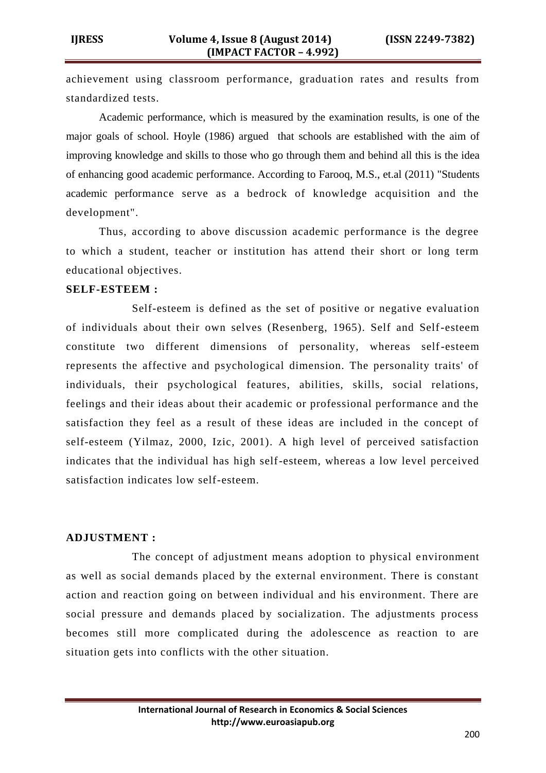achievement using classroom performance, graduation rates and results from standardized tests.

Academic performance, which is measured by the examination results, is one of the major goals of school. Hoyle (1986) argued that schools are established with the aim of improving knowledge and skills to those who go through them and behind all this is the idea of enhancing good academic performance. According to Farooq, M.S., et.al (2011) "Students academic performance serve as a bedrock of knowledge acquisition and the development".

Thus, according to above discussion academic performance is the degree to which a student, teacher or institution has attend their short or long term educational objectives.

### **SELF-ESTEEM :**

Self-esteem is defined as the set of positive or negative evaluation of individuals about their own selves (Resenberg, 1965). Self and Self-esteem constitute two different dimensions of personality, whereas self-esteem represents the affective and psychological dimension. The personality traits' of individuals, their psychological features, abilities, skills, social relations, feelings and their ideas about their academic or professional performance and the satisfaction they feel as a result of these ideas are included in the concept of self-esteem (Yilmaz, 2000, Izic, 2001). A high level of perceived satisfaction indicates that the individual has high self-esteem, whereas a low level perceived satisfaction indicates low self-esteem.

### **ADJUSTMENT :**

The concept of adjustment means adoption to physical environment as well as social demands placed by the external environment. There is constant action and reaction going on between individual and his environment. There are social pressure and demands placed by socialization. The adjustments process becomes still more complicated during the adolescence as reaction to are situation gets into conflicts with the other situation.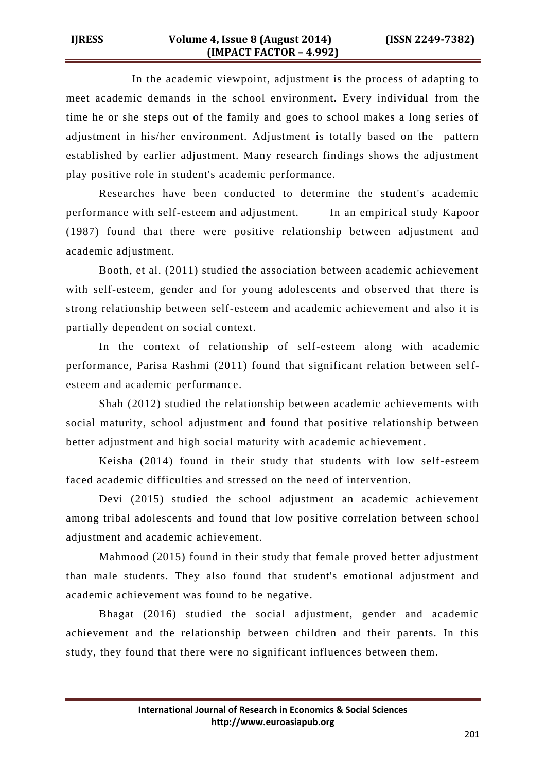In the academic viewpoint, adjustment is the process of adapting to meet academic demands in the school environment. Every individual from the time he or she steps out of the family and goes to school makes a long series of adjustment in his/her environment. Adjustment is totally based on the pattern established by earlier adjustment. Many research findings shows the adjustment play positive role in student's academic performance.

Researches have been conducted to determine the student's academic performance with self-esteem and adjustment. In an empirical study Kapoor (1987) found that there were positive relationship between adjustment and academic adjustment.

Booth, et al. (2011) studied the association between academic achievement with self-esteem, gender and for young adolescents and observed that there is strong relationship between self-esteem and academic achievement and also it is partially dependent on social context.

In the context of relationship of self-esteem along with academic performance, Parisa Rashmi (2011) found that significant relation between selfesteem and academic performance.

Shah (2012) studied the relationship between academic achievements with social maturity, school adjustment and found that positive relationship between better adjustment and high social maturity with academic achievement.

Keisha (2014) found in their study that students with low self-esteem faced academic difficulties and stressed on the need of intervention.

Devi (2015) studied the school adjustment an academic achievement among tribal adolescents and found that low positive correlation between school adjustment and academic achievement.

Mahmood (2015) found in their study that female proved better adjustment than male students. They also found that student's emotional adjustment and academic achievement was found to be negative.

Bhagat (2016) studied the social adjustment, gender and academic achievement and the relationship between children and their parents. In this study, they found that there were no significant influences between them.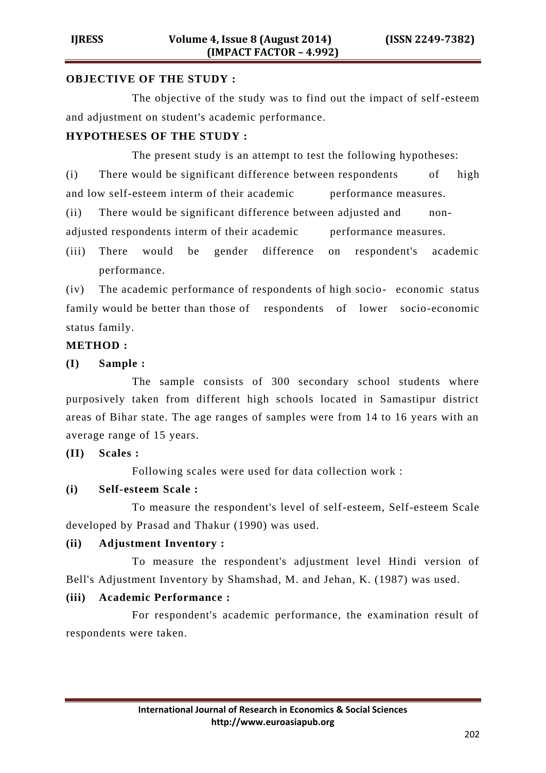### **OBJECTIVE OF THE STUDY :**

The objective of the study was to find out the impact of self-esteem and adjustment on student's academic performance.

# **HYPOTHESES OF THE STUDY :**

The present study is an attempt to test the following hypotheses:

(i) There would be significant difference between respondents of high and low self-esteem interm of their academic performance measures.

(ii) There would be significant difference between adjusted and nonadjusted respondents interm of their academic performance measures.

(iii) There would be gender difference on respondent's academic performance.

(iv) The academic performance of respondents of high socio- economic status family would be better than those of respondents of lower socio-economic status family.

## **METHOD :**

**(I) Sample :**

The sample consists of 300 secondary school students where purposively taken from different high schools located in Samastipur district areas of Bihar state. The age ranges of samples were from 14 to 16 years with an average range of 15 years.

## **(II) Scales :**

Following scales were used for data collection work :

# **(i) Self-esteem Scale :**

To measure the respondent's level of self-esteem, Self-esteem Scale developed by Prasad and Thakur (1990) was used.

## **(ii) Adjustment Inventory :**

To measure the respondent's adjustment level Hindi version of Bell's Adjustment Inventory by Shamshad, M. and Jehan, K. (1987) was used.

## **(iii) Academic Performance :**

For respondent's academic performance, the examination result of respondents were taken.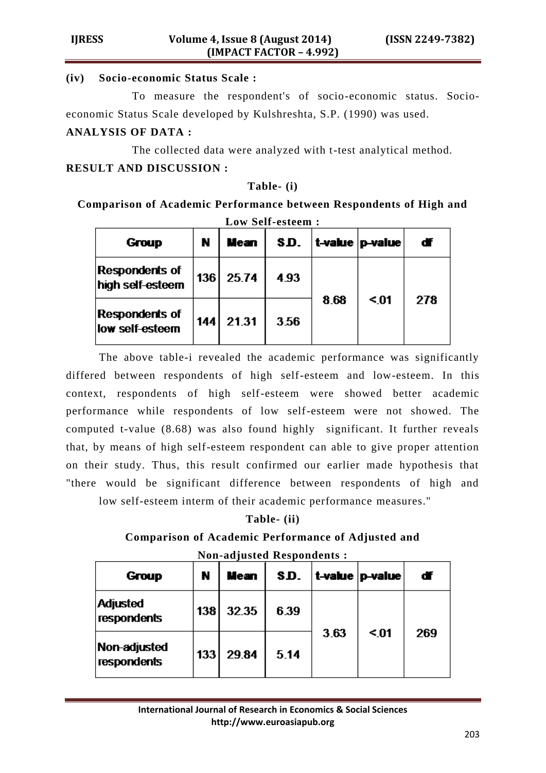# **(iv) Socio-economic Status Scale :**

To measure the respondent's of socio-economic status. Socioeconomic Status Scale developed by Kulshreshta, S.P. (1990) was used.

# **ANALYSIS OF DATA :**

The collected data were analyzed with t-test analytical method. **RESULT AND DISCUSSION :**

# **Table- (i)**

**Comparison of Academic Performance between Respondents of High and Low Self-esteem :**

| Group                                     | N   | Mean  | SD.  |      | t-value   p-value | ďf  |
|-------------------------------------------|-----|-------|------|------|-------------------|-----|
| <b>Respondents of</b><br>high self-esteem | 136 | 25.74 | 4.93 |      | $01$              | 278 |
| <b>Respondents of</b><br>low self-esteem  | 144 | 21.31 | 3.56 | 8.68 |                   |     |

The above table-i revealed the academic performance was significantly differed between respondents of high self-esteem and low-esteem. In this context, respondents of high self-esteem were showed better academic performance while respondents of low self-esteem were not showed. The computed t-value (8.68) was also found highly significant. It further reveals that, by means of high self-esteem respondent can able to give proper attention on their study. Thus, this result confirmed our earlier made hypothesis that "there would be significant difference between respondents of high and

low self-esteem interm of their academic performance measures."

# **Table- (ii)**

# **Comparison of Academic Performance of Adjusted and**

| <b>Non-adjusted Respondents:</b> |
|----------------------------------|
|----------------------------------|

| Group                          | N                | Mean  | SD.  |      | $ $ t-value $ $ p-value | ďf  |
|--------------------------------|------------------|-------|------|------|-------------------------|-----|
| <b>Adjusted</b><br>respondents | 138 <sup>1</sup> | 32.35 | 6.39 |      | $\leq 01$               | 269 |
| Non-adjusted<br>respondents    | 133              | 29.84 | 5.14 | 3.63 |                         |     |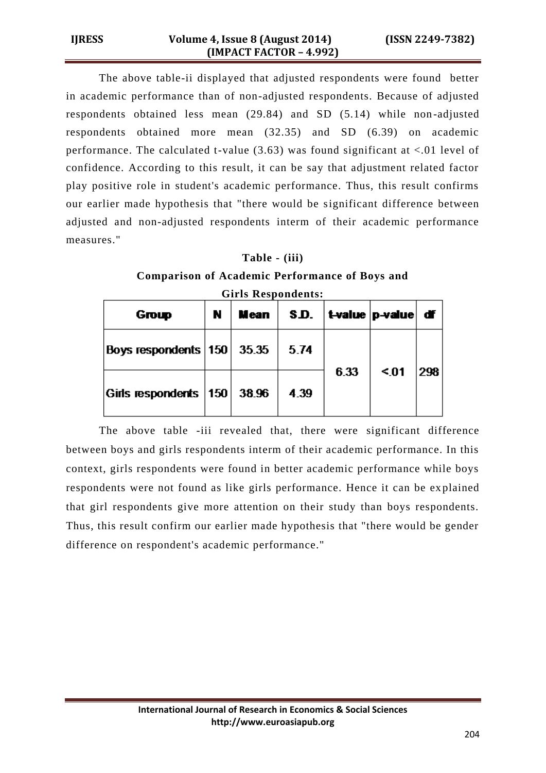The above table-ii displayed that adjusted respondents were found better in academic performance than of non-adjusted respondents. Because of adjusted respondents obtained less mean (29.84) and SD (5.14) while non-adjusted respondents obtained more mean (32.35) and SD (6.39) on academic performance. The calculated t-value  $(3.63)$  was found significant at  $\langle .01 \rangle$  level of confidence. According to this result, it can be say that adjustment related factor play positive role in student's academic performance. Thus, this result confirms our earlier made hypothesis that "there would be significant difference between adjusted and non-adjusted respondents interm of their academic performance measures."

### **Table - (iii)**

**Comparison of Academic Performance of Boys and** 

| Group                          | N | <b>Mean</b> | S.D. |      | $ $ t-value $ $ p-value $ $ df $ $ |     |
|--------------------------------|---|-------------|------|------|------------------------------------|-----|
| Boys respondents $ 150 $ 35.35 |   |             | 5.74 |      | $01$                               | 298 |
| Girls respondents   150        |   | 38.96       | 4.39 | 6.33 |                                    |     |

**Girls Respondents:**

The above table -iii revealed that, there were significant difference between boys and girls respondents interm of their academic performance. In this context, girls respondents were found in better academic performance while boys respondents were not found as like girls performance. Hence it can be ex plained that girl respondents give more attention on their study than boys respondents. Thus, this result confirm our earlier made hypothesis that "there would be gender difference on respondent's academic performance."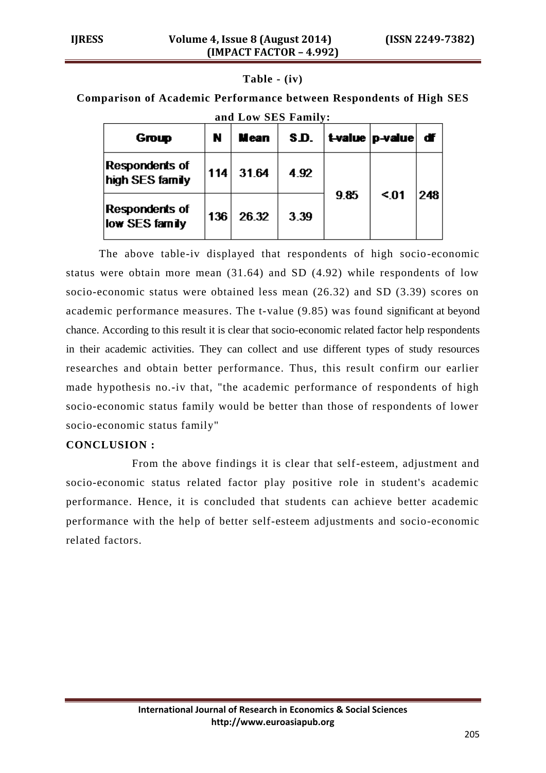#### **Table - (iv)**

**Comparison of Academic Performance between Respondents of High SES** 

| ани пом это гаши,                 |     |             |      |      |                        |     |  |
|-----------------------------------|-----|-------------|------|------|------------------------|-----|--|
| Group                             | N   | <b>Mean</b> | S.D. |      | t-value   p-value   df |     |  |
| Respondents of<br>high SES family | 114 | 31.64       | 4.92 |      | $01$                   | 248 |  |
| Respondents of<br>low SES family  | 136 | 26.32       | 3.39 | 9.85 |                        |     |  |

**and Low SES Family:**

The above table-iv displayed that respondents of high socio-economic status were obtain more mean (31.64) and SD (4.92) while respondents of low socio-economic status were obtained less mean (26.32) and SD (3.39) scores on academic performance measures. The t-value (9.85) was found significant at beyond chance. According to this result it is clear that socio-economic related factor help respondents in their academic activities. They can collect and use different types of study resources researches and obtain better performance. Thus, this result confirm our earlier made hypothesis no.-iv that, "the academic performance of respondents of high socio-economic status family would be better than those of respondents of lower socio-economic status family"

#### **CONCLUSION :**

From the above findings it is clear that self-esteem, adjustment and socio-economic status related factor play positive role in student's academic performance. Hence, it is concluded that students can achieve better academic performance with the help of better self-esteem adjustments and socio-economic related factors.